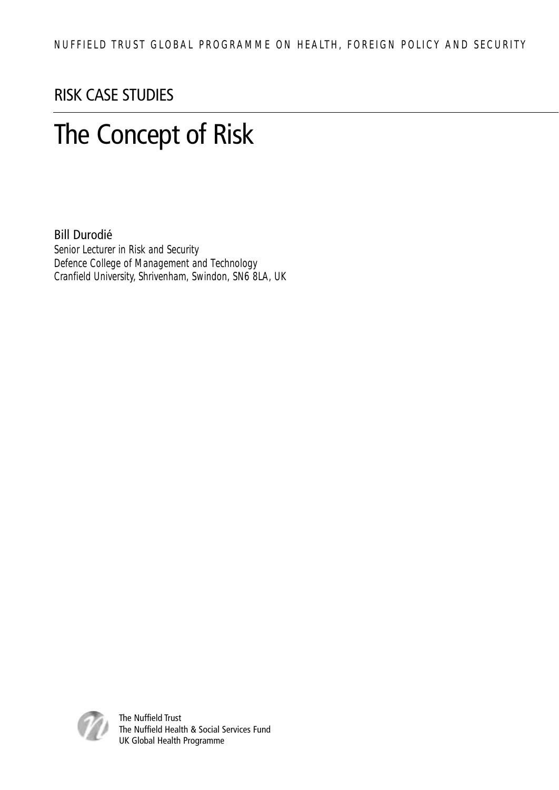#### RISK CASE STUDIES

### The Concept of Risk

#### Bill Durodié

Senior Lecturer in Risk and Security Defence College of Management and Technology Cranfield University, Shrivenham, Swindon, SN6 8LA, UK



The Nuffield Trust The Nuffield Health & Social Services Fund UK Global Health Programme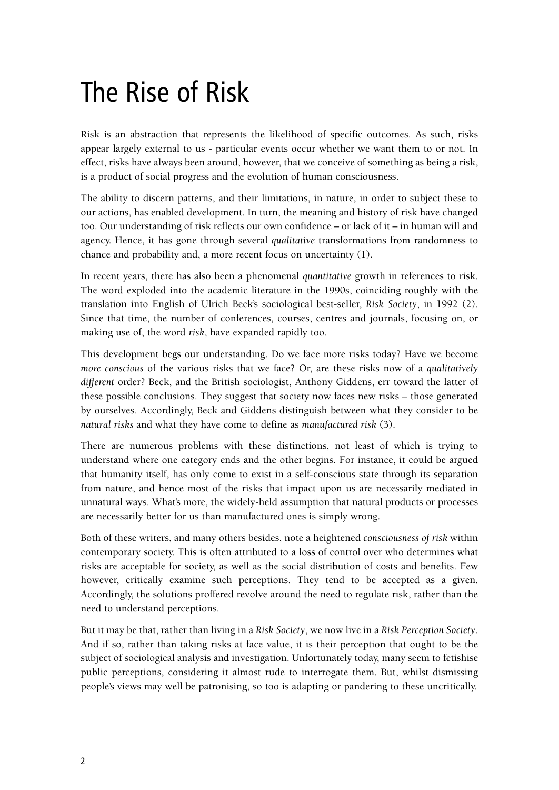### The Rise of Risk

Risk is an abstraction that represents the likelihood of specific outcomes. As such, risks appear largely external to us - particular events occur whether we want them to or not. In effect, risks have always been around, however, that we conceive of something as being a risk, is a product of social progress and the evolution of human consciousness.

The ability to discern patterns, and their limitations, in nature, in order to subject these to our actions, has enabled development. In turn, the meaning and history of risk have changed too. Our understanding of risk reflects our own confidence – or lack of it – in human will and agency. Hence, it has gone through several *qualitative* transformations from randomness to chance and probability and, a more recent focus on uncertainty (1).

In recent years, there has also been a phenomenal *quantitative* growth in references to risk. The word exploded into the academic literature in the 1990s, coinciding roughly with the translation into English of Ulrich Beck's sociological best-seller, *Risk Society*, in 1992 (2). Since that time, the number of conferences, courses, centres and journals, focusing on, or making use of, the word *risk*, have expanded rapidly too.

This development begs our understanding. Do we face more risks today? Have we become *more conscious* of the various risks that we face? Or, are these risks now of a *qualitatively different* order? Beck, and the British sociologist, Anthony Giddens, err toward the latter of these possible conclusions. They suggest that society now faces new risks – those generated by ourselves. Accordingly, Beck and Giddens distinguish between what they consider to be *natural risks* and what they have come to define as *manufactured risk* (3).

There are numerous problems with these distinctions, not least of which is trying to understand where one category ends and the other begins. For instance, it could be argued that humanity itself, has only come to exist in a self-conscious state through its separation from nature, and hence most of the risks that impact upon us are necessarily mediated in unnatural ways. What's more, the widely-held assumption that natural products or processes are necessarily better for us than manufactured ones is simply wrong.

Both of these writers, and many others besides, note a heightened *consciousness of risk* within contemporary society. This is often attributed to a loss of control over who determines what risks are acceptable for society, as well as the social distribution of costs and benefits. Few however, critically examine such perceptions. They tend to be accepted as a given. Accordingly, the solutions proffered revolve around the need to regulate risk, rather than the need to understand perceptions.

But it may be that, rather than living in a *Risk Society*, we now live in a *Risk Perception Society*. And if so, rather than taking risks at face value, it is their perception that ought to be the subject of sociological analysis and investigation. Unfortunately today, many seem to fetishise public perceptions, considering it almost rude to interrogate them. But, whilst dismissing people's views may well be patronising, so too is adapting or pandering to these uncritically.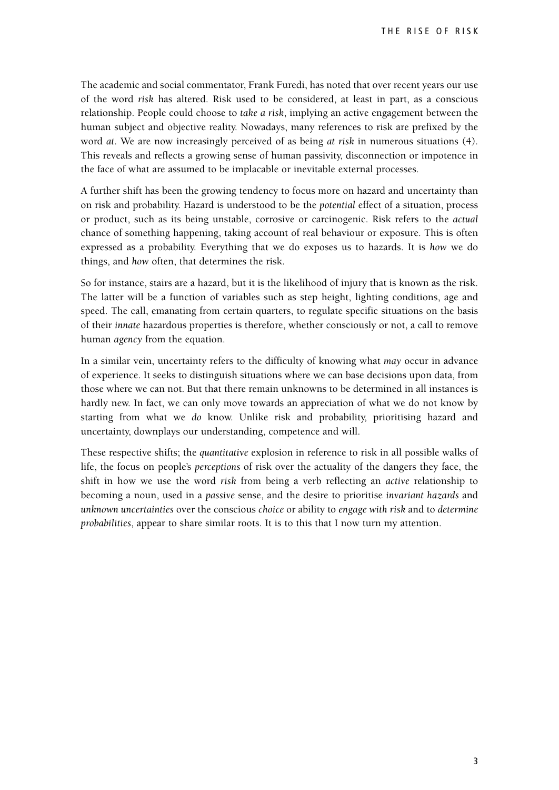The academic and social commentator, Frank Furedi, has noted that over recent years our use of the word *risk* has altered. Risk used to be considered, at least in part, as a conscious relationship. People could choose to *take a risk*, implying an active engagement between the human subject and objective reality. Nowadays, many references to risk are prefixed by the word *at*. We are now increasingly perceived of as being *at risk* in numerous situations (4). This reveals and reflects a growing sense of human passivity, disconnection or impotence in the face of what are assumed to be implacable or inevitable external processes.

A further shift has been the growing tendency to focus more on hazard and uncertainty than on risk and probability. Hazard is understood to be the *potential* effect of a situation, process or product, such as its being unstable, corrosive or carcinogenic. Risk refers to the *actual* chance of something happening, taking account of real behaviour or exposure. This is often expressed as a probability. Everything that we do exposes us to hazards. It is *how* we do things, and *how* often, that determines the risk.

So for instance, stairs are a hazard, but it is the likelihood of injury that is known as the risk. The latter will be a function of variables such as step height, lighting conditions, age and speed. The call, emanating from certain quarters, to regulate specific situations on the basis of their *innate* hazardous properties is therefore, whether consciously or not, a call to remove human *agency* from the equation.

In a similar vein, uncertainty refers to the difficulty of knowing what *may* occur in advance of experience. It seeks to distinguish situations where we can base decisions upon data, from those where we can not. But that there remain unknowns to be determined in all instances is hardly new. In fact, we can only move towards an appreciation of what we do not know by starting from what we *do* know. Unlike risk and probability, prioritising hazard and uncertainty, downplays our understanding, competence and will.

These respective shifts; the *quantitative* explosion in reference to risk in all possible walks of life, the focus on people's *perceptions* of risk over the actuality of the dangers they face, the shift in how we use the word *risk* from being a verb reflecting an *active* relationship to becoming a noun, used in a *passive* sense, and the desire to prioritise *invariant hazards* and *unknown uncertainties* over the conscious *choice* or ability to *engage with risk* and to *determine probabilities*, appear to share similar roots. It is to this that I now turn my attention.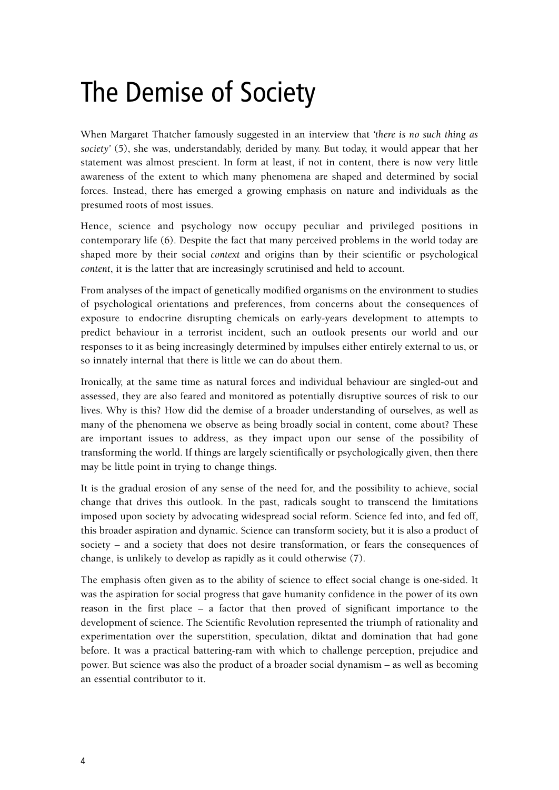#### The Demise of Society

When Margaret Thatcher famously suggested in an interview that *'there is no such thing as society'* (5), she was, understandably, derided by many. But today, it would appear that her statement was almost prescient. In form at least, if not in content, there is now very little awareness of the extent to which many phenomena are shaped and determined by social forces. Instead, there has emerged a growing emphasis on nature and individuals as the presumed roots of most issues.

Hence, science and psychology now occupy peculiar and privileged positions in contemporary life (6). Despite the fact that many perceived problems in the world today are shaped more by their social *context* and origins than by their scientific or psychological *content*, it is the latter that are increasingly scrutinised and held to account.

From analyses of the impact of genetically modified organisms on the environment to studies of psychological orientations and preferences, from concerns about the consequences of exposure to endocrine disrupting chemicals on early-years development to attempts to predict behaviour in a terrorist incident, such an outlook presents our world and our responses to it as being increasingly determined by impulses either entirely external to us, or so innately internal that there is little we can do about them.

Ironically, at the same time as natural forces and individual behaviour are singled-out and assessed, they are also feared and monitored as potentially disruptive sources of risk to our lives. Why is this? How did the demise of a broader understanding of ourselves, as well as many of the phenomena we observe as being broadly social in content, come about? These are important issues to address, as they impact upon our sense of the possibility of transforming the world. If things are largely scientifically or psychologically given, then there may be little point in trying to change things.

It is the gradual erosion of any sense of the need for, and the possibility to achieve, social change that drives this outlook. In the past, radicals sought to transcend the limitations imposed upon society by advocating widespread social reform. Science fed into, and fed off, this broader aspiration and dynamic. Science can transform society, but it is also a product of society – and a society that does not desire transformation, or fears the consequences of change, is unlikely to develop as rapidly as it could otherwise (7).

The emphasis often given as to the ability of science to effect social change is one-sided. It was the aspiration for social progress that gave humanity confidence in the power of its own reason in the first place – a factor that then proved of significant importance to the development of science. The Scientific Revolution represented the triumph of rationality and experimentation over the superstition, speculation, diktat and domination that had gone before. It was a practical battering-ram with which to challenge perception, prejudice and power. But science was also the product of a broader social dynamism – as well as becoming an essential contributor to it.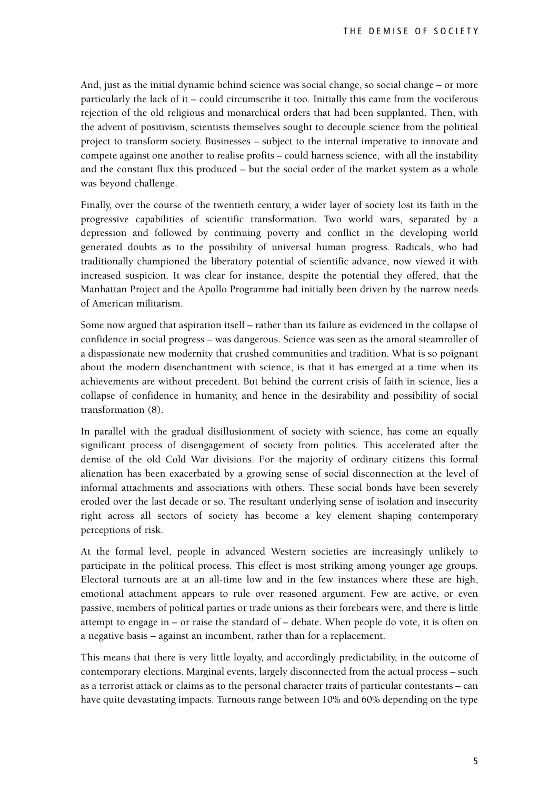And, just as the initial dynamic behind science was social change, so social change – or more particularly the lack of it – could circumscribe it too. Initially this came from the vociferous rejection of the old religious and monarchical orders that had been supplanted. Then, with the advent of positivism, scientists themselves sought to decouple science from the political project to transform society. Businesses – subject to the internal imperative to innovate and compete against one another to realise profits – could harness science, with all the instability and the constant flux this produced – but the social order of the market system as a whole was beyond challenge.

Finally, over the course of the twentieth century, a wider layer of society lost its faith in the progressive capabilities of scientific transformation. Two world wars, separated by a depression and followed by continuing poverty and conflict in the developing world generated doubts as to the possibility of universal human progress. Radicals, who had traditionally championed the liberatory potential of scientific advance, now viewed it with increased suspicion. It was clear for instance, despite the potential they offered, that the Manhattan Project and the Apollo Programme had initially been driven by the narrow needs of American militarism.

Some now argued that aspiration itself – rather than its failure as evidenced in the collapse of confidence in social progress – was dangerous. Science was seen as the amoral steamroller of a dispassionate new modernity that crushed communities and tradition. What is so poignant about the modern disenchantment with science, is that it has emerged at a time when its achievements are without precedent. But behind the current crisis of faith in science, lies a collapse of confidence in humanity, and hence in the desirability and possibility of social transformation (8).

In parallel with the gradual disillusionment of society with science, has come an equally significant process of disengagement of society from politics. This accelerated after the demise of the old Cold War divisions. For the majority of ordinary citizens this formal alienation has been exacerbated by a growing sense of social disconnection at the level of informal attachments and associations with others. These social bonds have been severely eroded over the last decade or so. The resultant underlying sense of isolation and insecurity right across all sectors of society has become a key element shaping contemporary perceptions of risk.

At the formal level, people in advanced Western societies are increasingly unlikely to participate in the political process. This effect is most striking among younger age groups. Electoral turnouts are at an all-time low and in the few instances where these are high, emotional attachment appears to rule over reasoned argument. Few are active, or even passive, members of political parties or trade unions as their forebears were, and there is little attempt to engage in – or raise the standard of – debate. When people do vote, it is often on a negative basis – against an incumbent, rather than for a replacement.

This means that there is very little loyalty, and accordingly predictability, in the outcome of contemporary elections. Marginal events, largely disconnected from the actual process – such as a terrorist attack or claims as to the personal character traits of particular contestants – can have quite devastating impacts. Turnouts range between 10% and 60% depending on the type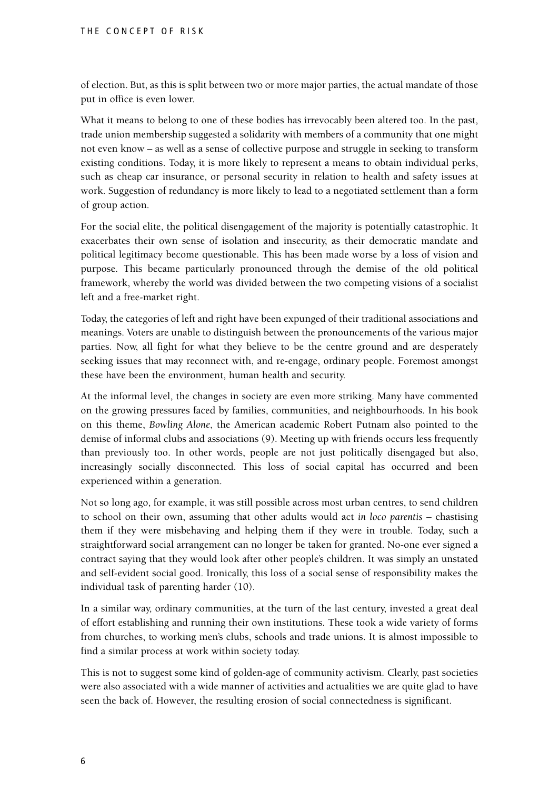of election. But, as this is split between two or more major parties, the actual mandate of those put in office is even lower.

What it means to belong to one of these bodies has irrevocably been altered too. In the past, trade union membership suggested a solidarity with members of a community that one might not even know – as well as a sense of collective purpose and struggle in seeking to transform existing conditions. Today, it is more likely to represent a means to obtain individual perks, such as cheap car insurance, or personal security in relation to health and safety issues at work. Suggestion of redundancy is more likely to lead to a negotiated settlement than a form of group action.

For the social elite, the political disengagement of the majority is potentially catastrophic. It exacerbates their own sense of isolation and insecurity, as their democratic mandate and political legitimacy become questionable. This has been made worse by a loss of vision and purpose. This became particularly pronounced through the demise of the old political framework, whereby the world was divided between the two competing visions of a socialist left and a free-market right.

Today, the categories of left and right have been expunged of their traditional associations and meanings. Voters are unable to distinguish between the pronouncements of the various major parties. Now, all fight for what they believe to be the centre ground and are desperately seeking issues that may reconnect with, and re-engage, ordinary people. Foremost amongst these have been the environment, human health and security.

At the informal level, the changes in society are even more striking. Many have commented on the growing pressures faced by families, communities, and neighbourhoods. In his book on this theme, *Bowling Alone*, the American academic Robert Putnam also pointed to the demise of informal clubs and associations (9). Meeting up with friends occurs less frequently than previously too. In other words, people are not just politically disengaged but also, increasingly socially disconnected. This loss of social capital has occurred and been experienced within a generation.

Not so long ago, for example, it was still possible across most urban centres, to send children to school on their own, assuming that other adults would act *in loco parentis* – chastising them if they were misbehaving and helping them if they were in trouble. Today, such a straightforward social arrangement can no longer be taken for granted. No-one ever signed a contract saying that they would look after other people's children. It was simply an unstated and self-evident social good. Ironically, this loss of a social sense of responsibility makes the individual task of parenting harder (10).

In a similar way, ordinary communities, at the turn of the last century, invested a great deal of effort establishing and running their own institutions. These took a wide variety of forms from churches, to working men's clubs, schools and trade unions. It is almost impossible to find a similar process at work within society today.

This is not to suggest some kind of golden-age of community activism. Clearly, past societies were also associated with a wide manner of activities and actualities we are quite glad to have seen the back of. However, the resulting erosion of social connectedness is significant.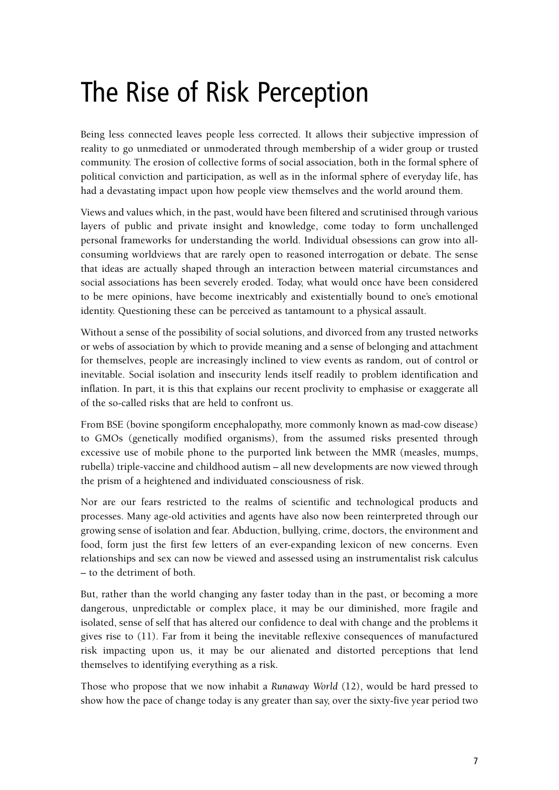#### The Rise of Risk Perception

Being less connected leaves people less corrected. It allows their subjective impression of reality to go unmediated or unmoderated through membership of a wider group or trusted community. The erosion of collective forms of social association, both in the formal sphere of political conviction and participation, as well as in the informal sphere of everyday life, has had a devastating impact upon how people view themselves and the world around them.

Views and values which, in the past, would have been filtered and scrutinised through various layers of public and private insight and knowledge, come today to form unchallenged personal frameworks for understanding the world. Individual obsessions can grow into allconsuming worldviews that are rarely open to reasoned interrogation or debate. The sense that ideas are actually shaped through an interaction between material circumstances and social associations has been severely eroded. Today, what would once have been considered to be mere opinions, have become inextricably and existentially bound to one's emotional identity. Questioning these can be perceived as tantamount to a physical assault.

Without a sense of the possibility of social solutions, and divorced from any trusted networks or webs of association by which to provide meaning and a sense of belonging and attachment for themselves, people are increasingly inclined to view events as random, out of control or inevitable. Social isolation and insecurity lends itself readily to problem identification and inflation. In part, it is this that explains our recent proclivity to emphasise or exaggerate all of the so-called risks that are held to confront us.

From BSE (bovine spongiform encephalopathy, more commonly known as mad-cow disease) to GMOs (genetically modified organisms), from the assumed risks presented through excessive use of mobile phone to the purported link between the MMR (measles, mumps, rubella) triple-vaccine and childhood autism – all new developments are now viewed through the prism of a heightened and individuated consciousness of risk.

Nor are our fears restricted to the realms of scientific and technological products and processes. Many age-old activities and agents have also now been reinterpreted through our growing sense of isolation and fear. Abduction, bullying, crime, doctors, the environment and food, form just the first few letters of an ever-expanding lexicon of new concerns. Even relationships and sex can now be viewed and assessed using an instrumentalist risk calculus – to the detriment of both.

But, rather than the world changing any faster today than in the past, or becoming a more dangerous, unpredictable or complex place, it may be our diminished, more fragile and isolated, sense of self that has altered our confidence to deal with change and the problems it gives rise to (11). Far from it being the inevitable reflexive consequences of manufactured risk impacting upon us, it may be our alienated and distorted perceptions that lend themselves to identifying everything as a risk.

Those who propose that we now inhabit a *Runaway World* (12), would be hard pressed to show how the pace of change today is any greater than say, over the sixty-five year period two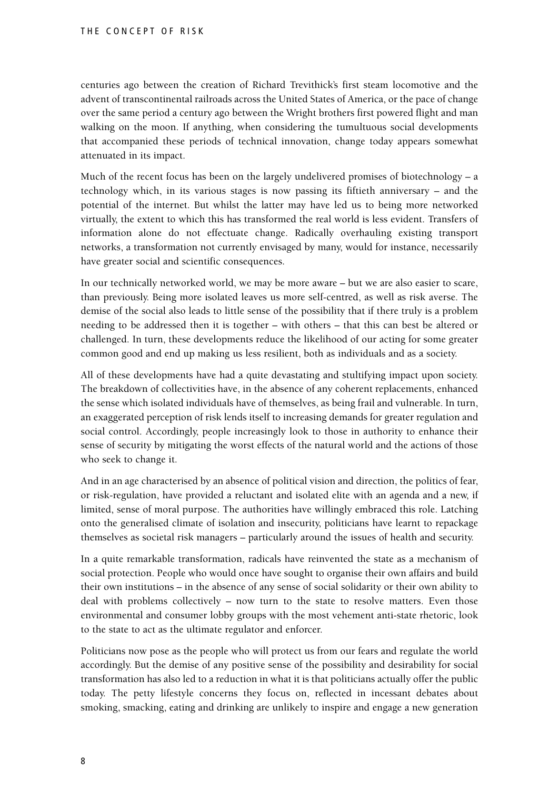centuries ago between the creation of Richard Trevithick's first steam locomotive and the advent of transcontinental railroads across the United States of America, or the pace of change over the same period a century ago between the Wright brothers first powered flight and man walking on the moon. If anything, when considering the tumultuous social developments that accompanied these periods of technical innovation, change today appears somewhat attenuated in its impact.

Much of the recent focus has been on the largely undelivered promises of biotechnology – a technology which, in its various stages is now passing its fiftieth anniversary – and the potential of the internet. But whilst the latter may have led us to being more networked virtually, the extent to which this has transformed the real world is less evident. Transfers of information alone do not effectuate change. Radically overhauling existing transport networks, a transformation not currently envisaged by many, would for instance, necessarily have greater social and scientific consequences.

In our technically networked world, we may be more aware – but we are also easier to scare, than previously. Being more isolated leaves us more self-centred, as well as risk averse. The demise of the social also leads to little sense of the possibility that if there truly is a problem needing to be addressed then it is together – with others – that this can best be altered or challenged. In turn, these developments reduce the likelihood of our acting for some greater common good and end up making us less resilient, both as individuals and as a society.

All of these developments have had a quite devastating and stultifying impact upon society. The breakdown of collectivities have, in the absence of any coherent replacements, enhanced the sense which isolated individuals have of themselves, as being frail and vulnerable. In turn, an exaggerated perception of risk lends itself to increasing demands for greater regulation and social control. Accordingly, people increasingly look to those in authority to enhance their sense of security by mitigating the worst effects of the natural world and the actions of those who seek to change it.

And in an age characterised by an absence of political vision and direction, the politics of fear, or risk-regulation, have provided a reluctant and isolated elite with an agenda and a new, if limited, sense of moral purpose. The authorities have willingly embraced this role. Latching onto the generalised climate of isolation and insecurity, politicians have learnt to repackage themselves as societal risk managers – particularly around the issues of health and security.

In a quite remarkable transformation, radicals have reinvented the state as a mechanism of social protection. People who would once have sought to organise their own affairs and build their own institutions – in the absence of any sense of social solidarity or their own ability to deal with problems collectively – now turn to the state to resolve matters. Even those environmental and consumer lobby groups with the most vehement anti-state rhetoric, look to the state to act as the ultimate regulator and enforcer.

Politicians now pose as the people who will protect us from our fears and regulate the world accordingly. But the demise of any positive sense of the possibility and desirability for social transformation has also led to a reduction in what it is that politicians actually offer the public today. The petty lifestyle concerns they focus on, reflected in incessant debates about smoking, smacking, eating and drinking are unlikely to inspire and engage a new generation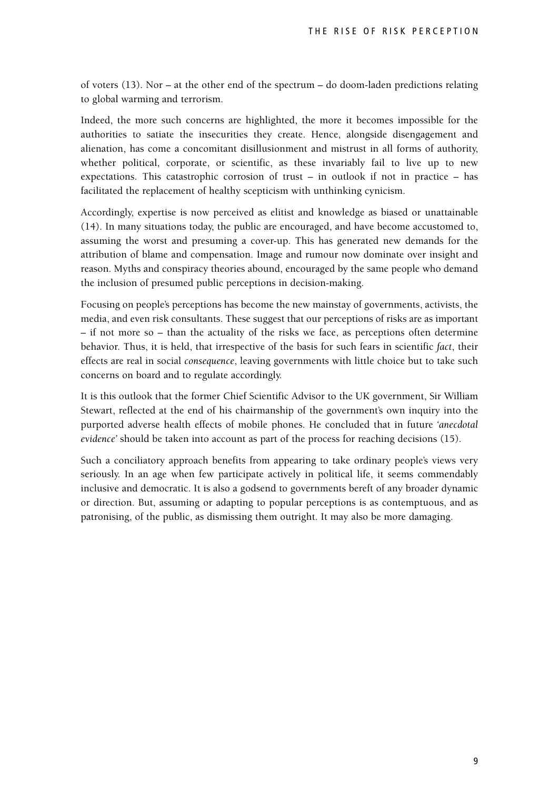of voters (13). Nor – at the other end of the spectrum – do doom-laden predictions relating to global warming and terrorism.

Indeed, the more such concerns are highlighted, the more it becomes impossible for the authorities to satiate the insecurities they create. Hence, alongside disengagement and alienation, has come a concomitant disillusionment and mistrust in all forms of authority, whether political, corporate, or scientific, as these invariably fail to live up to new expectations. This catastrophic corrosion of trust – in outlook if not in practice – has facilitated the replacement of healthy scepticism with unthinking cynicism.

Accordingly, expertise is now perceived as elitist and knowledge as biased or unattainable (14). In many situations today, the public are encouraged, and have become accustomed to, assuming the worst and presuming a cover-up. This has generated new demands for the attribution of blame and compensation. Image and rumour now dominate over insight and reason. Myths and conspiracy theories abound, encouraged by the same people who demand the inclusion of presumed public perceptions in decision-making.

Focusing on people's perceptions has become the new mainstay of governments, activists, the media, and even risk consultants. These suggest that our perceptions of risks are as important – if not more so – than the actuality of the risks we face, as perceptions often determine behavior. Thus, it is held, that irrespective of the basis for such fears in scientific *fact*, their effects are real in social *consequence*, leaving governments with little choice but to take such concerns on board and to regulate accordingly.

It is this outlook that the former Chief Scientific Advisor to the UK government, Sir William Stewart, reflected at the end of his chairmanship of the government's own inquiry into the purported adverse health effects of mobile phones. He concluded that in future *'anecdotal evidence'* should be taken into account as part of the process for reaching decisions (15).

Such a conciliatory approach benefits from appearing to take ordinary people's views very seriously. In an age when few participate actively in political life, it seems commendably inclusive and democratic. It is also a godsend to governments bereft of any broader dynamic or direction. But, assuming or adapting to popular perceptions is as contemptuous, and as patronising, of the public, as dismissing them outright. It may also be more damaging.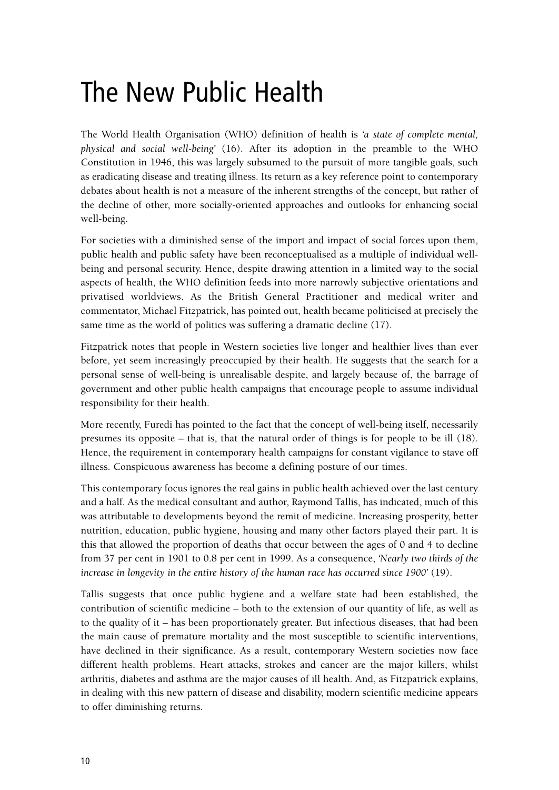### The New Public Health

The World Health Organisation (WHO) definition of health is *'a state of complete mental, physical and social well-being'* (16). After its adoption in the preamble to the WHO Constitution in 1946, this was largely subsumed to the pursuit of more tangible goals, such as eradicating disease and treating illness. Its return as a key reference point to contemporary debates about health is not a measure of the inherent strengths of the concept, but rather of the decline of other, more socially-oriented approaches and outlooks for enhancing social well-being.

For societies with a diminished sense of the import and impact of social forces upon them, public health and public safety have been reconceptualised as a multiple of individual wellbeing and personal security. Hence, despite drawing attention in a limited way to the social aspects of health, the WHO definition feeds into more narrowly subjective orientations and privatised worldviews. As the British General Practitioner and medical writer and commentator, Michael Fitzpatrick, has pointed out, health became politicised at precisely the same time as the world of politics was suffering a dramatic decline (17).

Fitzpatrick notes that people in Western societies live longer and healthier lives than ever before, yet seem increasingly preoccupied by their health. He suggests that the search for a personal sense of well-being is unrealisable despite, and largely because of, the barrage of government and other public health campaigns that encourage people to assume individual responsibility for their health.

More recently, Furedi has pointed to the fact that the concept of well-being itself, necessarily presumes its opposite – that is, that the natural order of things is for people to be ill (18). Hence, the requirement in contemporary health campaigns for constant vigilance to stave off illness. Conspicuous awareness has become a defining posture of our times.

This contemporary focus ignores the real gains in public health achieved over the last century and a half. As the medical consultant and author, Raymond Tallis, has indicated, much of this was attributable to developments beyond the remit of medicine. Increasing prosperity, better nutrition, education, public hygiene, housing and many other factors played their part. It is this that allowed the proportion of deaths that occur between the ages of 0 and 4 to decline from 37 per cent in 1901 to 0.8 per cent in 1999. As a consequence, *'Nearly two thirds of the increase in longevity in the entire history of the human race has occurred since 1900'* (19).

Tallis suggests that once public hygiene and a welfare state had been established, the contribution of scientific medicine – both to the extension of our quantity of life, as well as to the quality of it – has been proportionately greater. But infectious diseases, that had been the main cause of premature mortality and the most susceptible to scientific interventions, have declined in their significance. As a result, contemporary Western societies now face different health problems. Heart attacks, strokes and cancer are the major killers, whilst arthritis, diabetes and asthma are the major causes of ill health. And, as Fitzpatrick explains, in dealing with this new pattern of disease and disability, modern scientific medicine appears to offer diminishing returns.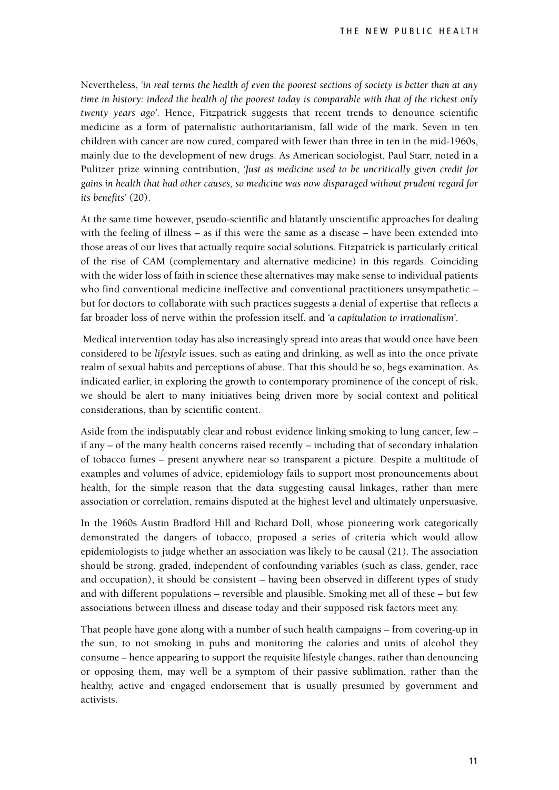Nevertheless, *'in real terms the health of even the poorest sections of society is better than at any time in history: indeed the health of the poorest today is comparable with that of the richest only twenty years ago'*. Hence, Fitzpatrick suggests that recent trends to denounce scientific medicine as a form of paternalistic authoritarianism, fall wide of the mark. Seven in ten children with cancer are now cured, compared with fewer than three in ten in the mid-1960s, mainly due to the development of new drugs. As American sociologist, Paul Starr, noted in a Pulitzer prize winning contribution, *'Just as medicine used to be uncritically given credit for gains in health that had other causes, so medicine was now disparaged without prudent regard for its benefits'* (20).

At the same time however, pseudo-scientific and blatantly unscientific approaches for dealing with the feeling of illness – as if this were the same as a disease – have been extended into those areas of our lives that actually require social solutions. Fitzpatrick is particularly critical of the rise of CAM (complementary and alternative medicine) in this regards. Coinciding with the wider loss of faith in science these alternatives may make sense to individual patients who find conventional medicine ineffective and conventional practitioners unsympathetic – but for doctors to collaborate with such practices suggests a denial of expertise that reflects a far broader loss of nerve within the profession itself, and *'a capitulation to irrationalism'*.

Medical intervention today has also increasingly spread into areas that would once have been considered to be *lifestyle* issues, such as eating and drinking, as well as into the once private realm of sexual habits and perceptions of abuse. That this should be so, begs examination. As indicated earlier, in exploring the growth to contemporary prominence of the concept of risk, we should be alert to many initiatives being driven more by social context and political considerations, than by scientific content.

Aside from the indisputably clear and robust evidence linking smoking to lung cancer, few – if any – of the many health concerns raised recently – including that of secondary inhalation of tobacco fumes – present anywhere near so transparent a picture. Despite a multitude of examples and volumes of advice, epidemiology fails to support most pronouncements about health, for the simple reason that the data suggesting causal linkages, rather than mere association or correlation, remains disputed at the highest level and ultimately unpersuasive.

In the 1960s Austin Bradford Hill and Richard Doll, whose pioneering work categorically demonstrated the dangers of tobacco, proposed a series of criteria which would allow epidemiologists to judge whether an association was likely to be causal (21). The association should be strong, graded, independent of confounding variables (such as class, gender, race and occupation), it should be consistent – having been observed in different types of study and with different populations – reversible and plausible. Smoking met all of these – but few associations between illness and disease today and their supposed risk factors meet any.

That people have gone along with a number of such health campaigns – from covering-up in the sun, to not smoking in pubs and monitoring the calories and units of alcohol they consume – hence appearing to support the requisite lifestyle changes, rather than denouncing or opposing them, may well be a symptom of their passive sublimation, rather than the healthy, active and engaged endorsement that is usually presumed by government and activists.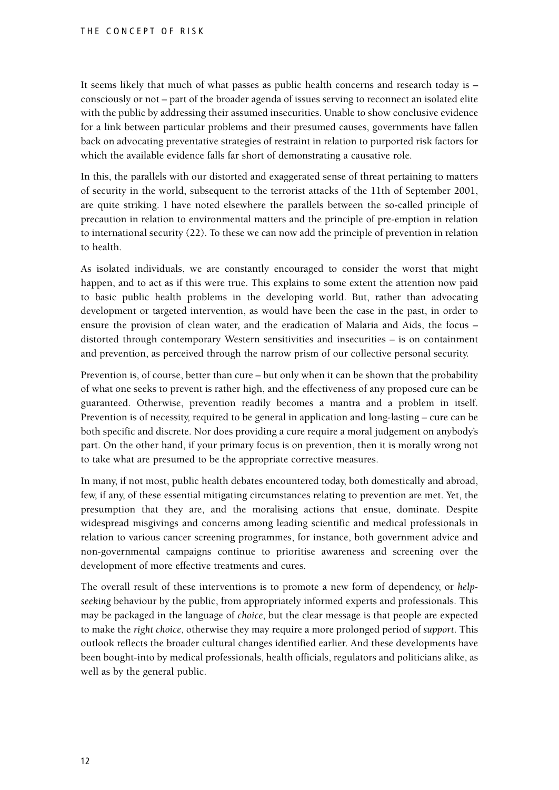It seems likely that much of what passes as public health concerns and research today is – consciously or not – part of the broader agenda of issues serving to reconnect an isolated elite with the public by addressing their assumed insecurities. Unable to show conclusive evidence for a link between particular problems and their presumed causes, governments have fallen back on advocating preventative strategies of restraint in relation to purported risk factors for which the available evidence falls far short of demonstrating a causative role.

In this, the parallels with our distorted and exaggerated sense of threat pertaining to matters of security in the world, subsequent to the terrorist attacks of the 11th of September 2001, are quite striking. I have noted elsewhere the parallels between the so-called principle of precaution in relation to environmental matters and the principle of pre-emption in relation to international security (22). To these we can now add the principle of prevention in relation to health.

As isolated individuals, we are constantly encouraged to consider the worst that might happen, and to act as if this were true. This explains to some extent the attention now paid to basic public health problems in the developing world. But, rather than advocating development or targeted intervention, as would have been the case in the past, in order to ensure the provision of clean water, and the eradication of Malaria and Aids, the focus – distorted through contemporary Western sensitivities and insecurities – is on containment and prevention, as perceived through the narrow prism of our collective personal security.

Prevention is, of course, better than cure – but only when it can be shown that the probability of what one seeks to prevent is rather high, and the effectiveness of any proposed cure can be guaranteed. Otherwise, prevention readily becomes a mantra and a problem in itself. Prevention is of necessity, required to be general in application and long-lasting – cure can be both specific and discrete. Nor does providing a cure require a moral judgement on anybody's part. On the other hand, if your primary focus is on prevention, then it is morally wrong not to take what are presumed to be the appropriate corrective measures.

In many, if not most, public health debates encountered today, both domestically and abroad, few, if any, of these essential mitigating circumstances relating to prevention are met. Yet, the presumption that they are, and the moralising actions that ensue, dominate. Despite widespread misgivings and concerns among leading scientific and medical professionals in relation to various cancer screening programmes, for instance, both government advice and non-governmental campaigns continue to prioritise awareness and screening over the development of more effective treatments and cures.

The overall result of these interventions is to promote a new form of dependency, or *helpseeking* behaviour by the public, from appropriately informed experts and professionals. This may be packaged in the language of *choice*, but the clear message is that people are expected to make the *right choice*, otherwise they may require a more prolonged period of *support*. This outlook reflects the broader cultural changes identified earlier. And these developments have been bought-into by medical professionals, health officials, regulators and politicians alike, as well as by the general public.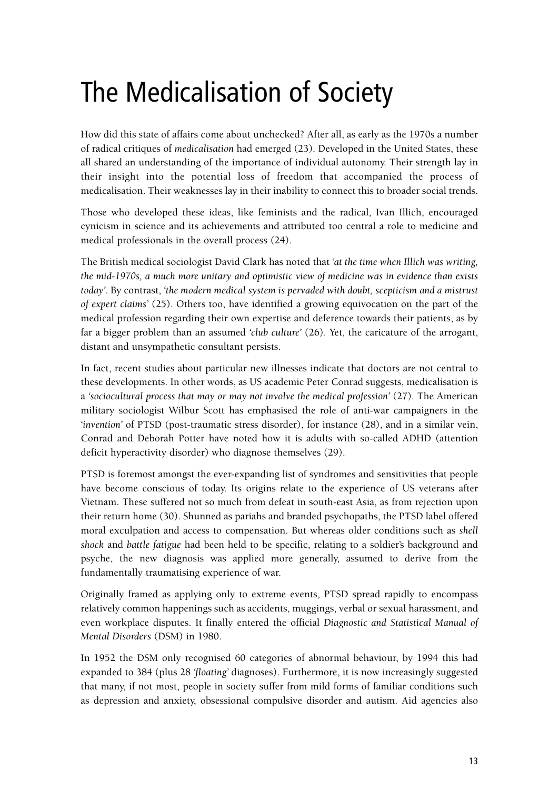# The Medicalisation of Society

How did this state of affairs come about unchecked? After all, as early as the 1970s a number of radical critiques of *medicalisation* had emerged (23). Developed in the United States, these all shared an understanding of the importance of individual autonomy. Their strength lay in their insight into the potential loss of freedom that accompanied the process of medicalisation. Their weaknesses lay in their inability to connect this to broader social trends.

Those who developed these ideas, like feminists and the radical, Ivan Illich, encouraged cynicism in science and its achievements and attributed too central a role to medicine and medical professionals in the overall process (24).

The British medical sociologist David Clark has noted that *'at the time when Illich was writing, the mid-1970s, a much more unitary and optimistic view of medicine was in evidence than exists today'*. By contrast, *'the modern medical system is pervaded with doubt, scepticism and a mistrust of expert claims'* (25). Others too, have identified a growing equivocation on the part of the medical profession regarding their own expertise and deference towards their patients, as by far a bigger problem than an assumed *'club culture'* (26). Yet, the caricature of the arrogant, distant and unsympathetic consultant persists.

In fact, recent studies about particular new illnesses indicate that doctors are not central to these developments. In other words, as US academic Peter Conrad suggests, medicalisation is a *'sociocultural process that may or may not involve the medical profession'* (27). The American military sociologist Wilbur Scott has emphasised the role of anti-war campaigners in the *'invention'* of PTSD (post-traumatic stress disorder), for instance (28), and in a similar vein, Conrad and Deborah Potter have noted how it is adults with so-called ADHD (attention deficit hyperactivity disorder) who diagnose themselves (29).

PTSD is foremost amongst the ever-expanding list of syndromes and sensitivities that people have become conscious of today. Its origins relate to the experience of US veterans after Vietnam. These suffered not so much from defeat in south-east Asia, as from rejection upon their return home (30). Shunned as pariahs and branded psychopaths, the PTSD label offered moral exculpation and access to compensation. But whereas older conditions such as *shell shock* and *battle fatigue* had been held to be specific, relating to a soldier's background and psyche, the new diagnosis was applied more generally, assumed to derive from the fundamentally traumatising experience of war.

Originally framed as applying only to extreme events, PTSD spread rapidly to encompass relatively common happenings such as accidents, muggings, verbal or sexual harassment, and even workplace disputes. It finally entered the official *Diagnostic and Statistical Manual of Mental Disorders* (DSM) in 1980.

In 1952 the DSM only recognised 60 categories of abnormal behaviour, by 1994 this had expanded to 384 (plus 28 *'floating'* diagnoses). Furthermore, it is now increasingly suggested that many, if not most, people in society suffer from mild forms of familiar conditions such as depression and anxiety, obsessional compulsive disorder and autism. Aid agencies also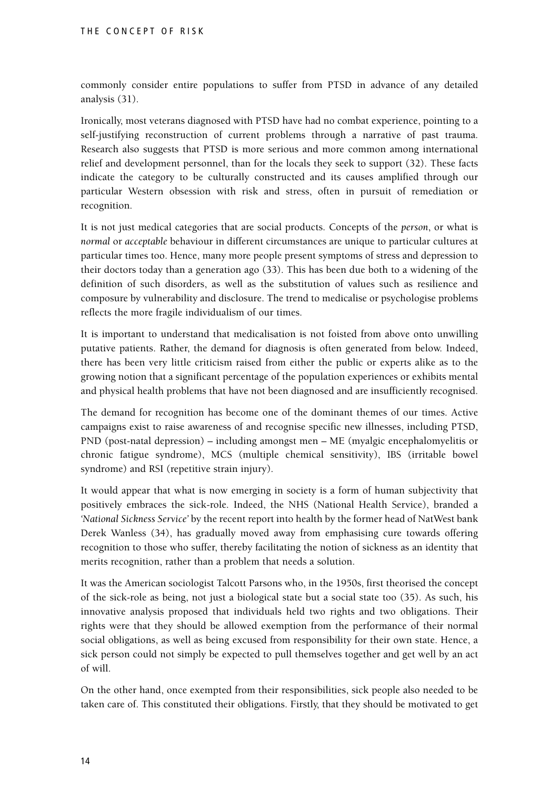commonly consider entire populations to suffer from PTSD in advance of any detailed analysis (31).

Ironically, most veterans diagnosed with PTSD have had no combat experience, pointing to a self-justifying reconstruction of current problems through a narrative of past trauma. Research also suggests that PTSD is more serious and more common among international relief and development personnel, than for the locals they seek to support (32). These facts indicate the category to be culturally constructed and its causes amplified through our particular Western obsession with risk and stress, often in pursuit of remediation or recognition.

It is not just medical categories that are social products. Concepts of the *person*, or what is *normal* or *acceptable* behaviour in different circumstances are unique to particular cultures at particular times too. Hence, many more people present symptoms of stress and depression to their doctors today than a generation ago (33). This has been due both to a widening of the definition of such disorders, as well as the substitution of values such as resilience and composure by vulnerability and disclosure. The trend to medicalise or psychologise problems reflects the more fragile individualism of our times.

It is important to understand that medicalisation is not foisted from above onto unwilling putative patients. Rather, the demand for diagnosis is often generated from below. Indeed, there has been very little criticism raised from either the public or experts alike as to the growing notion that a significant percentage of the population experiences or exhibits mental and physical health problems that have not been diagnosed and are insufficiently recognised.

The demand for recognition has become one of the dominant themes of our times. Active campaigns exist to raise awareness of and recognise specific new illnesses, including PTSD, PND (post-natal depression) – including amongst men – ME (myalgic encephalomyelitis or chronic fatigue syndrome), MCS (multiple chemical sensitivity), IBS (irritable bowel syndrome) and RSI (repetitive strain injury).

It would appear that what is now emerging in society is a form of human subjectivity that positively embraces the sick-role. Indeed, the NHS (National Health Service), branded a *'National Sickness Service'* by the recent report into health by the former head of NatWest bank Derek Wanless (34), has gradually moved away from emphasising cure towards offering recognition to those who suffer, thereby facilitating the notion of sickness as an identity that merits recognition, rather than a problem that needs a solution.

It was the American sociologist Talcott Parsons who, in the 1950s, first theorised the concept of the sick-role as being, not just a biological state but a social state too (35). As such, his innovative analysis proposed that individuals held two rights and two obligations. Their rights were that they should be allowed exemption from the performance of their normal social obligations, as well as being excused from responsibility for their own state. Hence, a sick person could not simply be expected to pull themselves together and get well by an act of will.

On the other hand, once exempted from their responsibilities, sick people also needed to be taken care of. This constituted their obligations. Firstly, that they should be motivated to get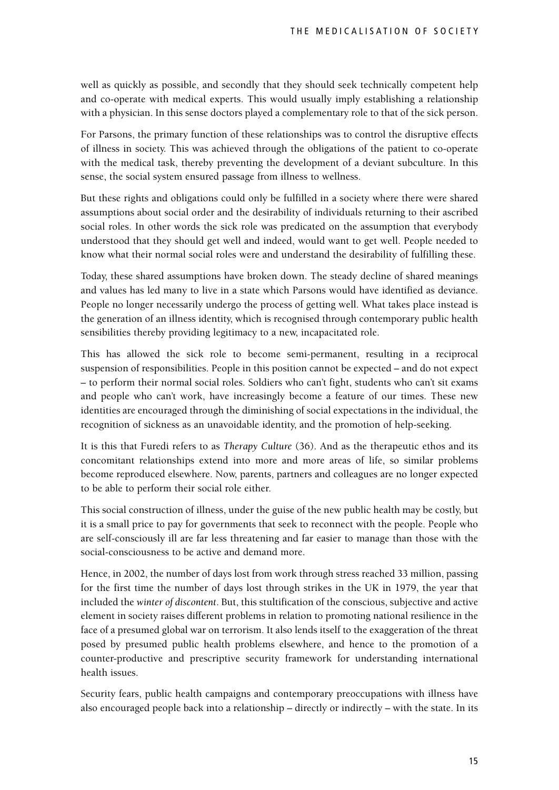well as quickly as possible, and secondly that they should seek technically competent help and co-operate with medical experts. This would usually imply establishing a relationship with a physician. In this sense doctors played a complementary role to that of the sick person.

For Parsons, the primary function of these relationships was to control the disruptive effects of illness in society. This was achieved through the obligations of the patient to co-operate with the medical task, thereby preventing the development of a deviant subculture. In this sense, the social system ensured passage from illness to wellness.

But these rights and obligations could only be fulfilled in a society where there were shared assumptions about social order and the desirability of individuals returning to their ascribed social roles. In other words the sick role was predicated on the assumption that everybody understood that they should get well and indeed, would want to get well. People needed to know what their normal social roles were and understand the desirability of fulfilling these.

Today, these shared assumptions have broken down. The steady decline of shared meanings and values has led many to live in a state which Parsons would have identified as deviance. People no longer necessarily undergo the process of getting well. What takes place instead is the generation of an illness identity, which is recognised through contemporary public health sensibilities thereby providing legitimacy to a new, incapacitated role.

This has allowed the sick role to become semi-permanent, resulting in a reciprocal suspension of responsibilities. People in this position cannot be expected – and do not expect – to perform their normal social roles. Soldiers who can't fight, students who can't sit exams and people who can't work, have increasingly become a feature of our times. These new identities are encouraged through the diminishing of social expectations in the individual, the recognition of sickness as an unavoidable identity, and the promotion of help-seeking.

It is this that Furedi refers to as *Therapy Culture* (36). And as the therapeutic ethos and its concomitant relationships extend into more and more areas of life, so similar problems become reproduced elsewhere. Now, parents, partners and colleagues are no longer expected to be able to perform their social role either.

This social construction of illness, under the guise of the new public health may be costly, but it is a small price to pay for governments that seek to reconnect with the people. People who are self-consciously ill are far less threatening and far easier to manage than those with the social-consciousness to be active and demand more.

Hence, in 2002, the number of days lost from work through stress reached 33 million, passing for the first time the number of days lost through strikes in the UK in 1979, the year that included the *winter of discontent*. But, this stultification of the conscious, subjective and active element in society raises different problems in relation to promoting national resilience in the face of a presumed global war on terrorism. It also lends itself to the exaggeration of the threat posed by presumed public health problems elsewhere, and hence to the promotion of a counter-productive and prescriptive security framework for understanding international health issues.

Security fears, public health campaigns and contemporary preoccupations with illness have also encouraged people back into a relationship – directly or indirectly – with the state. In its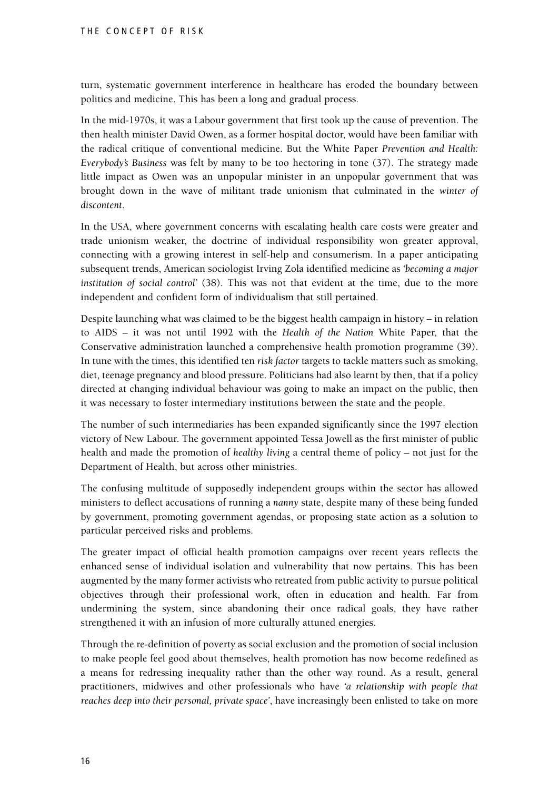turn, systematic government interference in healthcare has eroded the boundary between politics and medicine. This has been a long and gradual process.

In the mid-1970s, it was a Labour government that first took up the cause of prevention. The then health minister David Owen, as a former hospital doctor, would have been familiar with the radical critique of conventional medicine. But the White Paper *Prevention and Health: Everybody's Business* was felt by many to be too hectoring in tone (37). The strategy made little impact as Owen was an unpopular minister in an unpopular government that was brought down in the wave of militant trade unionism that culminated in the *winter of discontent*.

In the USA, where government concerns with escalating health care costs were greater and trade unionism weaker, the doctrine of individual responsibility won greater approval, connecting with a growing interest in self-help and consumerism. In a paper anticipating subsequent trends, American sociologist Irving Zola identified medicine as *'becoming a major institution of social control'* (38). This was not that evident at the time, due to the more independent and confident form of individualism that still pertained.

Despite launching what was claimed to be the biggest health campaign in history – in relation to AIDS – it was not until 1992 with the *Health of the Nation* White Paper, that the Conservative administration launched a comprehensive health promotion programme (39). In tune with the times, this identified ten *risk factor* targets to tackle matters such as smoking, diet, teenage pregnancy and blood pressure. Politicians had also learnt by then, that if a policy directed at changing individual behaviour was going to make an impact on the public, then it was necessary to foster intermediary institutions between the state and the people.

The number of such intermediaries has been expanded significantly since the 1997 election victory of New Labour. The government appointed Tessa Jowell as the first minister of public health and made the promotion of *healthy living* a central theme of policy – not just for the Department of Health, but across other ministries.

The confusing multitude of supposedly independent groups within the sector has allowed ministers to deflect accusations of running a *nanny* state, despite many of these being funded by government, promoting government agendas, or proposing state action as a solution to particular perceived risks and problems.

The greater impact of official health promotion campaigns over recent years reflects the enhanced sense of individual isolation and vulnerability that now pertains. This has been augmented by the many former activists who retreated from public activity to pursue political objectives through their professional work, often in education and health. Far from undermining the system, since abandoning their once radical goals, they have rather strengthened it with an infusion of more culturally attuned energies.

Through the re-definition of poverty as social exclusion and the promotion of social inclusion to make people feel good about themselves, health promotion has now become redefined as a means for redressing inequality rather than the other way round. As a result, general practitioners, midwives and other professionals who have *'a relationship with people that reaches deep into their personal, private space'*, have increasingly been enlisted to take on more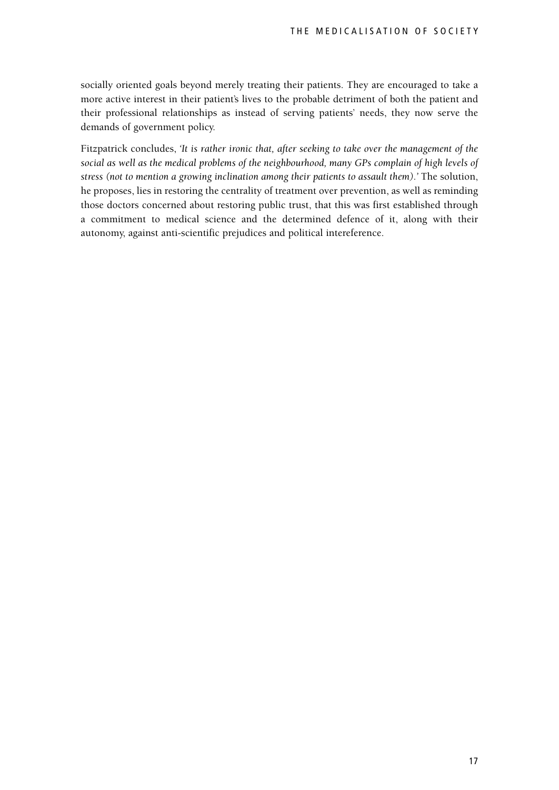socially oriented goals beyond merely treating their patients. They are encouraged to take a more active interest in their patient's lives to the probable detriment of both the patient and their professional relationships as instead of serving patients' needs, they now serve the demands of government policy.

Fitzpatrick concludes, *'It is rather ironic that, after seeking to take over the management of the social as well as the medical problems of the neighbourhood, many GPs complain of high levels of stress (not to mention a growing inclination among their patients to assault them).'* The solution, he proposes, lies in restoring the centrality of treatment over prevention, as well as reminding those doctors concerned about restoring public trust, that this was first established through a commitment to medical science and the determined defence of it, along with their autonomy, against anti-scientific prejudices and political intereference.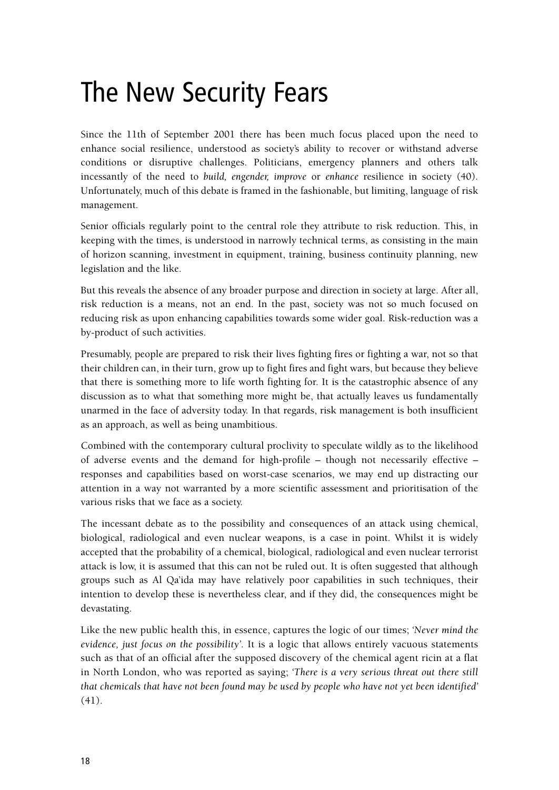#### The New Security Fears

Since the 11th of September 2001 there has been much focus placed upon the need to enhance social resilience, understood as society's ability to recover or withstand adverse conditions or disruptive challenges. Politicians, emergency planners and others talk incessantly of the need to *build, engender, improve* or *enhance* resilience in society (40). Unfortunately, much of this debate is framed in the fashionable, but limiting, language of risk management.

Senior officials regularly point to the central role they attribute to risk reduction. This, in keeping with the times, is understood in narrowly technical terms, as consisting in the main of horizon scanning, investment in equipment, training, business continuity planning, new legislation and the like.

But this reveals the absence of any broader purpose and direction in society at large. After all, risk reduction is a means, not an end. In the past, society was not so much focused on reducing risk as upon enhancing capabilities towards some wider goal. Risk-reduction was a by-product of such activities.

Presumably, people are prepared to risk their lives fighting fires or fighting a war, not so that their children can, in their turn, grow up to fight fires and fight wars, but because they believe that there is something more to life worth fighting for. It is the catastrophic absence of any discussion as to what that something more might be, that actually leaves us fundamentally unarmed in the face of adversity today. In that regards, risk management is both insufficient as an approach, as well as being unambitious.

Combined with the contemporary cultural proclivity to speculate wildly as to the likelihood of adverse events and the demand for high-profile – though not necessarily effective – responses and capabilities based on worst-case scenarios, we may end up distracting our attention in a way not warranted by a more scientific assessment and prioritisation of the various risks that we face as a society.

The incessant debate as to the possibility and consequences of an attack using chemical, biological, radiological and even nuclear weapons, is a case in point. Whilst it is widely accepted that the probability of a chemical, biological, radiological and even nuclear terrorist attack is low, it is assumed that this can not be ruled out. It is often suggested that although groups such as Al Qa'ida may have relatively poor capabilities in such techniques, their intention to develop these is nevertheless clear, and if they did, the consequences might be devastating.

Like the new public health this, in essence, captures the logic of our times; *'Never mind the evidence, just focus on the possibility'*. It is a logic that allows entirely vacuous statements such as that of an official after the supposed discovery of the chemical agent ricin at a flat in North London, who was reported as saying; *'There is a very serious threat out there still that chemicals that have not been found may be used by people who have not yet been identified'* (41).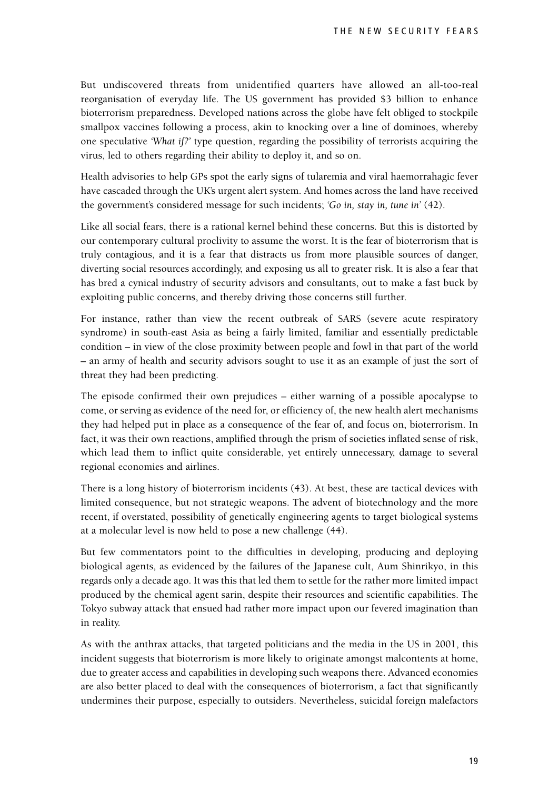But undiscovered threats from unidentified quarters have allowed an all-too-real reorganisation of everyday life. The US government has provided \$3 billion to enhance bioterrorism preparedness. Developed nations across the globe have felt obliged to stockpile smallpox vaccines following a process, akin to knocking over a line of dominoes, whereby one speculative *'What if?'* type question, regarding the possibility of terrorists acquiring the virus, led to others regarding their ability to deploy it, and so on.

Health advisories to help GPs spot the early signs of tularemia and viral haemorrahagic fever have cascaded through the UK's urgent alert system. And homes across the land have received the government's considered message for such incidents; *'Go in, stay in, tune in'* (42).

Like all social fears, there is a rational kernel behind these concerns. But this is distorted by our contemporary cultural proclivity to assume the worst. It is the fear of bioterrorism that is truly contagious, and it is a fear that distracts us from more plausible sources of danger, diverting social resources accordingly, and exposing us all to greater risk. It is also a fear that has bred a cynical industry of security advisors and consultants, out to make a fast buck by exploiting public concerns, and thereby driving those concerns still further.

For instance, rather than view the recent outbreak of SARS (severe acute respiratory syndrome) in south-east Asia as being a fairly limited, familiar and essentially predictable condition – in view of the close proximity between people and fowl in that part of the world – an army of health and security advisors sought to use it as an example of just the sort of threat they had been predicting.

The episode confirmed their own prejudices – either warning of a possible apocalypse to come, or serving as evidence of the need for, or efficiency of, the new health alert mechanisms they had helped put in place as a consequence of the fear of, and focus on, bioterrorism. In fact, it was their own reactions, amplified through the prism of societies inflated sense of risk, which lead them to inflict quite considerable, yet entirely unnecessary, damage to several regional economies and airlines.

There is a long history of bioterrorism incidents (43). At best, these are tactical devices with limited consequence, but not strategic weapons. The advent of biotechnology and the more recent, if overstated, possibility of genetically engineering agents to target biological systems at a molecular level is now held to pose a new challenge (44).

But few commentators point to the difficulties in developing, producing and deploying biological agents, as evidenced by the failures of the Japanese cult, Aum Shinrikyo, in this regards only a decade ago. It was this that led them to settle for the rather more limited impact produced by the chemical agent sarin, despite their resources and scientific capabilities. The Tokyo subway attack that ensued had rather more impact upon our fevered imagination than in reality.

As with the anthrax attacks, that targeted politicians and the media in the US in 2001, this incident suggests that bioterrorism is more likely to originate amongst malcontents at home, due to greater access and capabilities in developing such weapons there. Advanced economies are also better placed to deal with the consequences of bioterrorism, a fact that significantly undermines their purpose, especially to outsiders. Nevertheless, suicidal foreign malefactors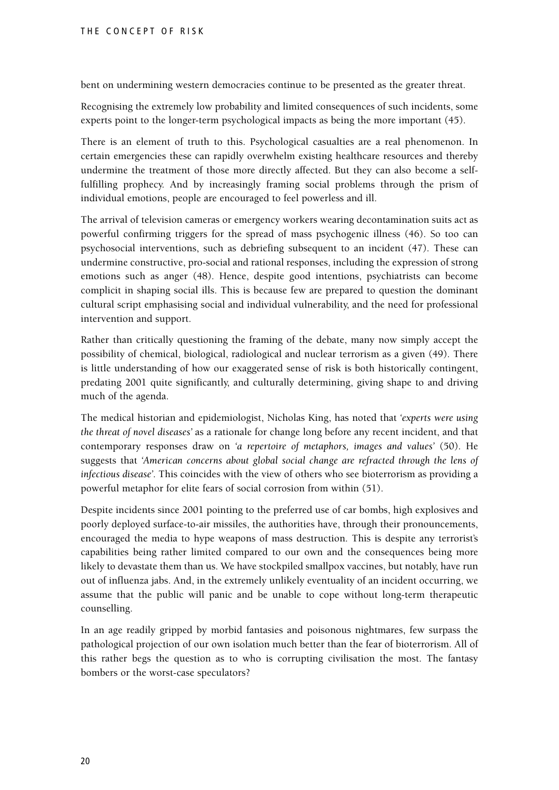bent on undermining western democracies continue to be presented as the greater threat.

Recognising the extremely low probability and limited consequences of such incidents, some experts point to the longer-term psychological impacts as being the more important (45).

There is an element of truth to this. Psychological casualties are a real phenomenon. In certain emergencies these can rapidly overwhelm existing healthcare resources and thereby undermine the treatment of those more directly affected. But they can also become a selffulfilling prophecy. And by increasingly framing social problems through the prism of individual emotions, people are encouraged to feel powerless and ill.

The arrival of television cameras or emergency workers wearing decontamination suits act as powerful confirming triggers for the spread of mass psychogenic illness (46). So too can psychosocial interventions, such as debriefing subsequent to an incident (47). These can undermine constructive, pro-social and rational responses, including the expression of strong emotions such as anger (48). Hence, despite good intentions, psychiatrists can become complicit in shaping social ills. This is because few are prepared to question the dominant cultural script emphasising social and individual vulnerability, and the need for professional intervention and support.

Rather than critically questioning the framing of the debate, many now simply accept the possibility of chemical, biological, radiological and nuclear terrorism as a given (49). There is little understanding of how our exaggerated sense of risk is both historically contingent, predating 2001 quite significantly, and culturally determining, giving shape to and driving much of the agenda.

The medical historian and epidemiologist, Nicholas King, has noted that *'experts were using the threat of novel diseases'* as a rationale for change long before any recent incident, and that contemporary responses draw on *'a repertoire of metaphors, images and values'* (50). He suggests that *'American concerns about global social change are refracted through the lens of infectious disease'*. This coincides with the view of others who see bioterrorism as providing a powerful metaphor for elite fears of social corrosion from within (51).

Despite incidents since 2001 pointing to the preferred use of car bombs, high explosives and poorly deployed surface-to-air missiles, the authorities have, through their pronouncements, encouraged the media to hype weapons of mass destruction. This is despite any terrorist's capabilities being rather limited compared to our own and the consequences being more likely to devastate them than us. We have stockpiled smallpox vaccines, but notably, have run out of influenza jabs. And, in the extremely unlikely eventuality of an incident occurring, we assume that the public will panic and be unable to cope without long-term therapeutic counselling.

In an age readily gripped by morbid fantasies and poisonous nightmares, few surpass the pathological projection of our own isolation much better than the fear of bioterrorism. All of this rather begs the question as to who is corrupting civilisation the most. The fantasy bombers or the worst-case speculators?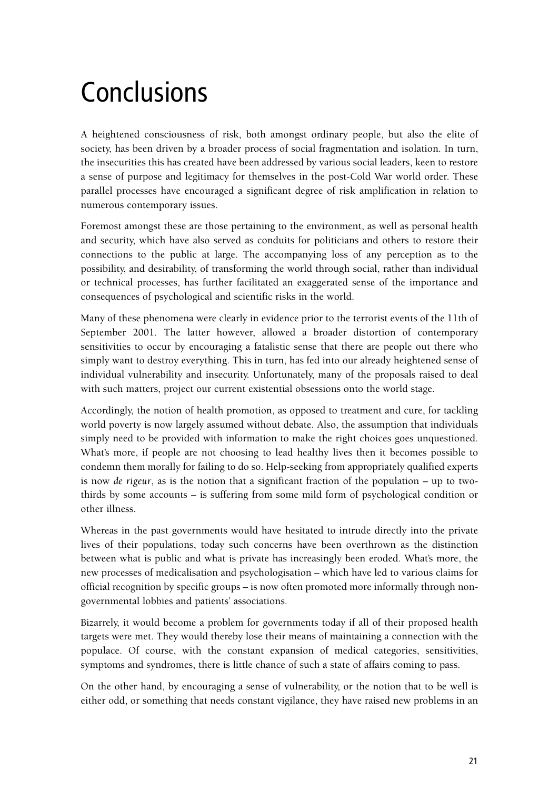# **Conclusions**

A heightened consciousness of risk, both amongst ordinary people, but also the elite of society, has been driven by a broader process of social fragmentation and isolation. In turn, the insecurities this has created have been addressed by various social leaders, keen to restore a sense of purpose and legitimacy for themselves in the post-Cold War world order. These parallel processes have encouraged a significant degree of risk amplification in relation to numerous contemporary issues.

Foremost amongst these are those pertaining to the environment, as well as personal health and security, which have also served as conduits for politicians and others to restore their connections to the public at large. The accompanying loss of any perception as to the possibility, and desirability, of transforming the world through social, rather than individual or technical processes, has further facilitated an exaggerated sense of the importance and consequences of psychological and scientific risks in the world.

Many of these phenomena were clearly in evidence prior to the terrorist events of the 11th of September 2001. The latter however, allowed a broader distortion of contemporary sensitivities to occur by encouraging a fatalistic sense that there are people out there who simply want to destroy everything. This in turn, has fed into our already heightened sense of individual vulnerability and insecurity. Unfortunately, many of the proposals raised to deal with such matters, project our current existential obsessions onto the world stage.

Accordingly, the notion of health promotion, as opposed to treatment and cure, for tackling world poverty is now largely assumed without debate. Also, the assumption that individuals simply need to be provided with information to make the right choices goes unquestioned. What's more, if people are not choosing to lead healthy lives then it becomes possible to condemn them morally for failing to do so. Help-seeking from appropriately qualified experts is now *de rigeur*, as is the notion that a significant fraction of the population – up to twothirds by some accounts – is suffering from some mild form of psychological condition or other illness.

Whereas in the past governments would have hesitated to intrude directly into the private lives of their populations, today such concerns have been overthrown as the distinction between what is public and what is private has increasingly been eroded. What's more, the new processes of medicalisation and psychologisation – which have led to various claims for official recognition by specific groups – is now often promoted more informally through nongovernmental lobbies and patients' associations.

Bizarrely, it would become a problem for governments today if all of their proposed health targets were met. They would thereby lose their means of maintaining a connection with the populace. Of course, with the constant expansion of medical categories, sensitivities, symptoms and syndromes, there is little chance of such a state of affairs coming to pass.

On the other hand, by encouraging a sense of vulnerability, or the notion that to be well is either odd, or something that needs constant vigilance, they have raised new problems in an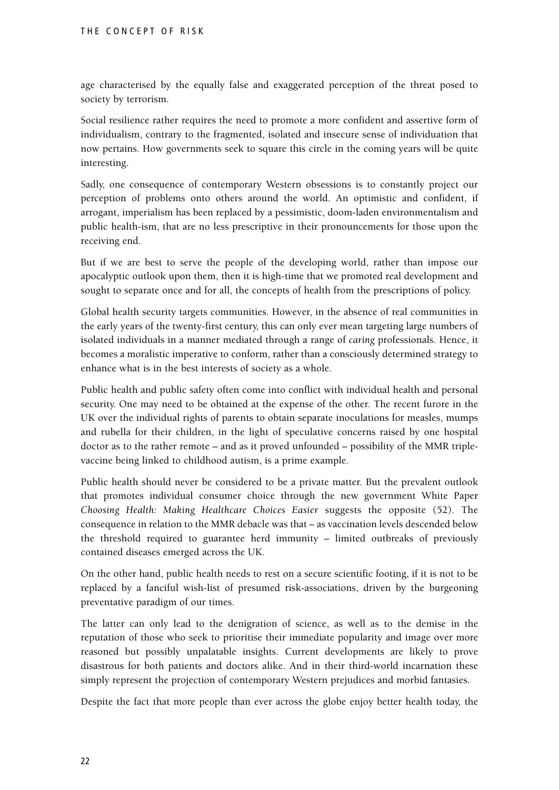age characterised by the equally false and exaggerated perception of the threat posed to society by terrorism.

Social resilience rather requires the need to promote a more confident and assertive form of individualism, contrary to the fragmented, isolated and insecure sense of individuation that now pertains. How governments seek to square this circle in the coming years will be quite interesting.

Sadly, one consequence of contemporary Western obsessions is to constantly project our perception of problems onto others around the world. An optimistic and confident, if arrogant, imperialism has been replaced by a pessimistic, doom-laden environmentalism and public health-ism, that are no less prescriptive in their pronouncements for those upon the receiving end.

But if we are best to serve the people of the developing world, rather than impose our apocalyptic outlook upon them, then it is high-time that we promoted real development and sought to separate once and for all, the concepts of health from the prescriptions of policy.

Global health security targets communities. However, in the absence of real communities in the early years of the twenty-first century, this can only ever mean targeting large numbers of isolated individuals in a manner mediated through a range of *caring* professionals. Hence, it becomes a moralistic imperative to conform, rather than a consciously determined strategy to enhance what is in the best interests of society as a whole.

Public health and public safety often come into conflict with individual health and personal security. One may need to be obtained at the expense of the other. The recent furore in the UK over the individual rights of parents to obtain separate inoculations for measles, mumps and rubella for their children, in the light of speculative concerns raised by one hospital doctor as to the rather remote – and as it proved unfounded – possibility of the MMR triplevaccine being linked to childhood autism, is a prime example.

Public health should never be considered to be a private matter. But the prevalent outlook that promotes individual consumer choice through the new government White Paper *Choosing Health: Making Healthcare Choices Easier* suggests the opposite (52). The consequence in relation to the MMR debacle was that – as vaccination levels descended below the threshold required to guarantee herd immunity – limited outbreaks of previously contained diseases emerged across the UK.

On the other hand, public health needs to rest on a secure scientific footing, if it is not to be replaced by a fanciful wish-list of presumed risk-associations, driven by the burgeoning preventative paradigm of our times.

The latter can only lead to the denigration of science, as well as to the demise in the reputation of those who seek to prioritise their immediate popularity and image over more reasoned but possibly unpalatable insights. Current developments are likely to prove disastrous for both patients and doctors alike. And in their third-world incarnation these simply represent the projection of contemporary Western prejudices and morbid fantasies.

Despite the fact that more people than ever across the globe enjoy better health today, the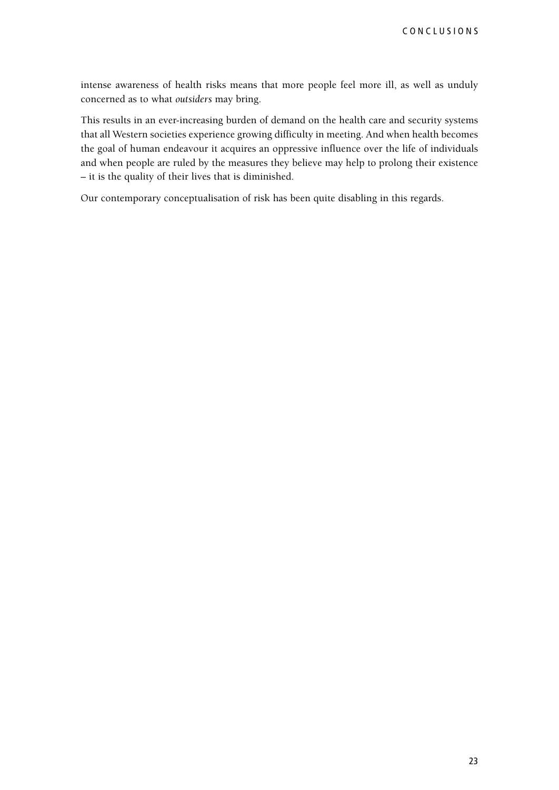intense awareness of health risks means that more people feel more ill, as well as unduly concerned as to what *outsiders* may bring.

This results in an ever-increasing burden of demand on the health care and security systems that all Western societies experience growing difficulty in meeting. And when health becomes the goal of human endeavour it acquires an oppressive influence over the life of individuals and when people are ruled by the measures they believe may help to prolong their existence – it is the quality of their lives that is diminished.

Our contemporary conceptualisation of risk has been quite disabling in this regards.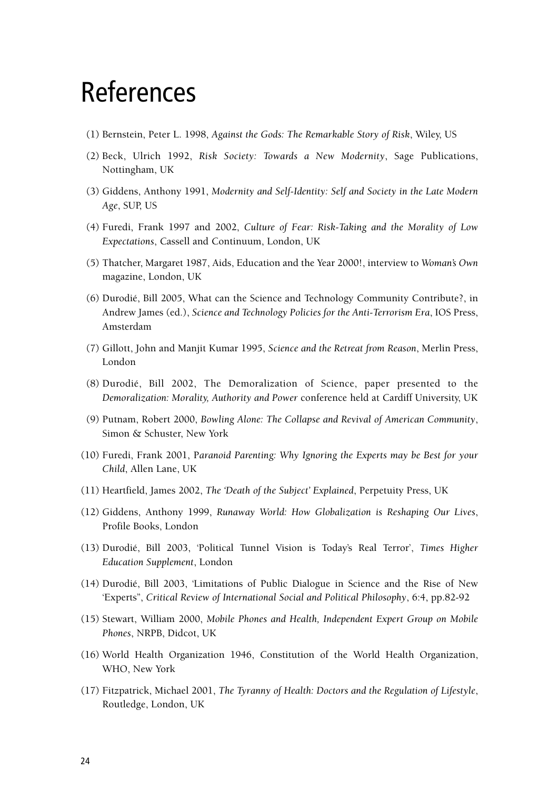#### References

- (1) Bernstein, Peter L. 1998, *Against the Gods: The Remarkable Story of Risk*, Wiley, US
- (2) Beck, Ulrich 1992, *Risk Society: Towards a New Modernity*, Sage Publications, Nottingham, UK
- (3) Giddens, Anthony 1991, *Modernity and Self-Identity: Self and Society in the Late Modern Age*, SUP, US
- (4) Furedi, Frank 1997 and 2002, *Culture of Fear: Risk-Taking and the Morality of Low Expectations*, Cassell and Continuum, London, UK
- (5) Thatcher, Margaret 1987, Aids, Education and the Year 2000!, interview to *Woman's Own* magazine, London, UK
- (6) Durodié, Bill 2005, What can the Science and Technology Community Contribute?, in Andrew James (ed.), *Science and Technology Policies for the Anti-Terrorism Era*, IOS Press, Amsterdam
- (7) Gillott, John and Manjit Kumar 1995, *Science and the Retreat from Reason*, Merlin Press, London
- (8) Durodié, Bill 2002, The Demoralization of Science, paper presented to the *Demoralization: Morality, Authority and Power* conference held at Cardiff University, UK
- (9) Putnam, Robert 2000, *Bowling Alone: The Collapse and Revival of American Community*, Simon & Schuster, New York
- (10) Furedi, Frank 2001, P*aranoid Parenting: Why Ignoring the Experts may be Best for your Child*, Allen Lane, UK
- (11) Heartfield, James 2002, *The 'Death of the Subject' Explained*, Perpetuity Press, UK
- (12) Giddens, Anthony 1999, *Runaway World: How Globalization is Reshaping Our Lives*, Profile Books, London
- (13) Durodié, Bill 2003, 'Political Tunnel Vision is Today's Real Terror', *Times Higher Education Supplement*, London
- (14) Durodié, Bill 2003, 'Limitations of Public Dialogue in Science and the Rise of New 'Experts'', *Critical Review of International Social and Political Philosophy*, 6:4, pp.82-92
- (15) Stewart, William 2000, *Mobile Phones and Health, Independent Expert Group on Mobile Phones*, NRPB, Didcot, UK
- (16) World Health Organization 1946, Constitution of the World Health Organization, WHO, New York
- (17) Fitzpatrick, Michael 2001, *The Tyranny of Health: Doctors and the Regulation of Lifestyle*, Routledge, London, UK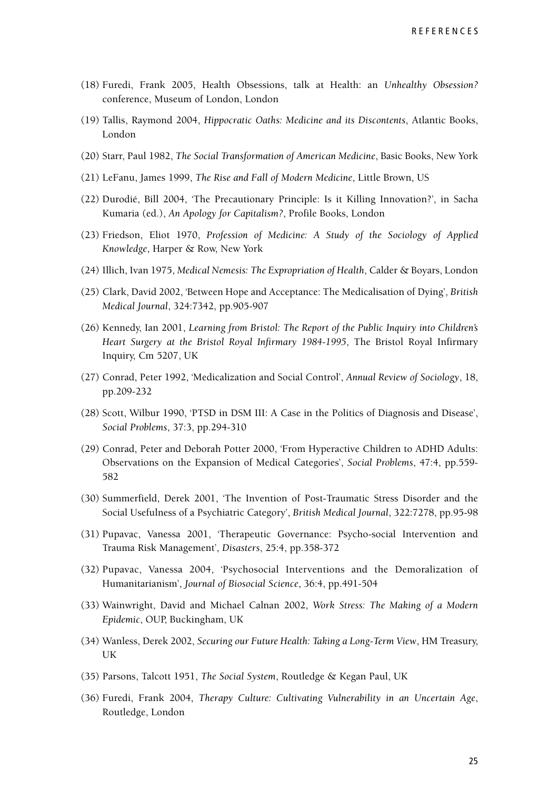**REFERENCES** 

- (18) Furedi, Frank 2005, Health Obsessions, talk at Health: an *Unhealthy Obsession?* conference, Museum of London, London
- (19) Tallis, Raymond 2004, *Hippocratic Oaths: Medicine and its Discontents*, Atlantic Books, London
- (20) Starr, Paul 1982, *The Social Transformation of American Medicine*, Basic Books, New York
- (21) LeFanu, James 1999, *The Rise and Fall of Modern Medicine*, Little Brown, US
- (22) Durodié, Bill 2004, 'The Precautionary Principle: Is it Killing Innovation?', in Sacha Kumaria (ed.), *An Apology for Capitalism?*, Profile Books, London
- (23) Friedson, Eliot 1970, *Profession of Medicine: A Study of the Sociology of Applied Knowledge*, Harper & Row, New York
- (24) Illich, Ivan 1975, *Medical Nemesis: The Expropriation of Health*, Calder & Boyars, London
- (25) Clark, David 2002, 'Between Hope and Acceptance: The Medicalisation of Dying', *British Medical Journal*, 324:7342, pp.905-907
- (26) Kennedy, Ian 2001, *Learning from Bristol: The Report of the Public Inquiry into Children's Heart Surgery at the Bristol Royal Infirmary 1984-1995*, The Bristol Royal Infirmary Inquiry, Cm 5207, UK
- (27) Conrad, Peter 1992, 'Medicalization and Social Control', *Annual Review of Sociology*, 18, pp.209-232
- (28) Scott, Wilbur 1990, 'PTSD in DSM III: A Case in the Politics of Diagnosis and Disease', *Social Problems*, 37:3, pp.294-310
- (29) Conrad, Peter and Deborah Potter 2000, 'From Hyperactive Children to ADHD Adults: Observations on the Expansion of Medical Categories', *Social Problems*, 47:4, pp.559- 582
- (30) Summerfield, Derek 2001, 'The Invention of Post-Traumatic Stress Disorder and the Social Usefulness of a Psychiatric Category', *British Medical Journal*, 322:7278, pp.95-98
- (31) Pupavac, Vanessa 2001, 'Therapeutic Governance: Psycho-social Intervention and Trauma Risk Management', *Disasters*, 25:4, pp.358-372
- (32) Pupavac, Vanessa 2004, 'Psychosocial Interventions and the Demoralization of Humanitarianism', *Journal of Biosocial Science*, 36:4, pp.491-504
- (33) Wainwright, David and Michael Calnan 2002, *Work Stress: The Making of a Modern Epidemic*, OUP, Buckingham, UK
- (34) Wanless, Derek 2002, *Securing our Future Health: Taking a Long-Term View*, HM Treasury, UK
- (35) Parsons, Talcott 1951, *The Social System*, Routledge & Kegan Paul, UK
- (36) Furedi, Frank 2004, *Therapy Culture: Cultivating Vulnerability in an Uncertain Age*, Routledge, London